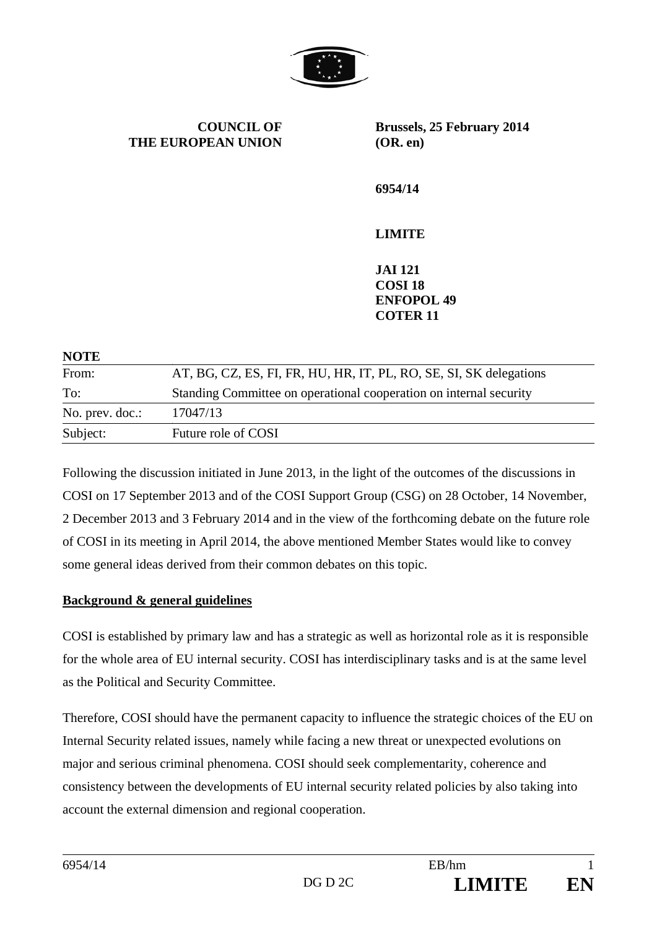

**COUNCIL OF THE EUROPEAN UNION** **Brussels, 25 February 2014 (OR. en)** 

**6954/14** 

# **LIMITE**

**JAI 121 COSI 18 ENFOPOL 49 COTER 11** 

| <b>NOTE</b>     |                                                                    |
|-----------------|--------------------------------------------------------------------|
| From:           | AT, BG, CZ, ES, FI, FR, HU, HR, IT, PL, RO, SE, SI, SK delegations |
| To:             | Standing Committee on operational cooperation on internal security |
| No. prev. doc.: | 17047/13                                                           |
| Subject:        | Future role of COSI                                                |

Following the discussion initiated in June 2013, in the light of the outcomes of the discussions in COSI on 17 September 2013 and of the COSI Support Group (CSG) on 28 October, 14 November, 2 December 2013 and 3 February 2014 and in the view of the forthcoming debate on the future role of COSI in its meeting in April 2014, the above mentioned Member States would like to convey some general ideas derived from their common debates on this topic.

# **Background & general guidelines**

COSI is established by primary law and has a strategic as well as horizontal role as it is responsible for the whole area of EU internal security. COSI has interdisciplinary tasks and is at the same level as the Political and Security Committee.

Therefore, COSI should have the permanent capacity to influence the strategic choices of the EU on Internal Security related issues, namely while facing a new threat or unexpected evolutions on major and serious criminal phenomena. COSI should seek complementarity, coherence and consistency between the developments of EU internal security related policies by also taking into account the external dimension and regional cooperation.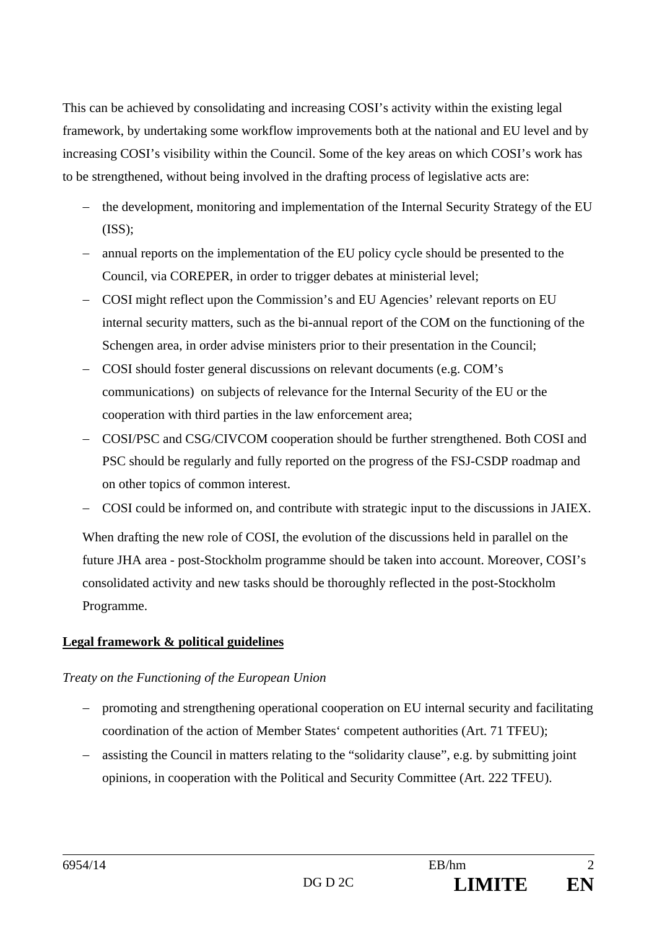This can be achieved by consolidating and increasing COSI's activity within the existing legal framework, by undertaking some workflow improvements both at the national and EU level and by increasing COSI's visibility within the Council. Some of the key areas on which COSI's work has to be strengthened, without being involved in the drafting process of legislative acts are:

- the development, monitoring and implementation of the Internal Security Strategy of the EU  $(ISS);$
- annual reports on the implementation of the EU policy cycle should be presented to the Council, via COREPER, in order to trigger debates at ministerial level;
- COSI might reflect upon the Commission's and EU Agencies' relevant reports on EU internal security matters, such as the bi-annual report of the COM on the functioning of the Schengen area, in order advise ministers prior to their presentation in the Council;
- COSI should foster general discussions on relevant documents (e.g. COM's communications) on subjects of relevance for the Internal Security of the EU or the cooperation with third parties in the law enforcement area;
- COSI/PSC and CSG/CIVCOM cooperation should be further strengthened. Both COSI and PSC should be regularly and fully reported on the progress of the FSJ-CSDP roadmap and on other topics of common interest.
- COSI could be informed on, and contribute with strategic input to the discussions in JAIEX.

When drafting the new role of COSI, the evolution of the discussions held in parallel on the future JHA area - post-Stockholm programme should be taken into account. Moreover, COSI's consolidated activity and new tasks should be thoroughly reflected in the post-Stockholm Programme.

# **Legal framework & political guidelines**

# *Treaty on the Functioning of the European Union*

- promoting and strengthening operational cooperation on EU internal security and facilitating coordination of the action of Member States' competent authorities (Art. 71 TFEU);
- assisting the Council in matters relating to the "solidarity clause", e.g. by submitting joint opinions, in cooperation with the Political and Security Committee (Art. 222 TFEU).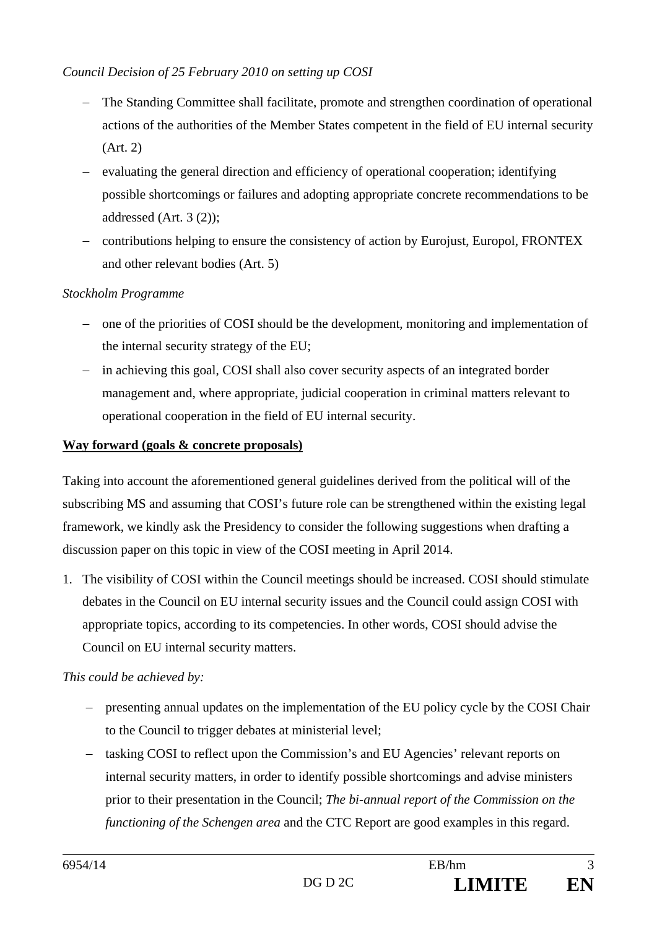## *Council Decision of 25 February 2010 on setting up COSI*

- The Standing Committee shall facilitate, promote and strengthen coordination of operational actions of the authorities of the Member States competent in the field of EU internal security (Art. 2)
- evaluating the general direction and efficiency of operational cooperation; identifying possible shortcomings or failures and adopting appropriate concrete recommendations to be addressed (Art. 3 (2));
- contributions helping to ensure the consistency of action by Eurojust, Europol, FRONTEX and other relevant bodies (Art. 5)

### *Stockholm Programme*

- one of the priorities of COSI should be the development, monitoring and implementation of the internal security strategy of the EU;
- in achieving this goal, COSI shall also cover security aspects of an integrated border management and, where appropriate, judicial cooperation in criminal matters relevant to operational cooperation in the field of EU internal security.

#### **Way forward (goals & concrete proposals)**

Taking into account the aforementioned general guidelines derived from the political will of the subscribing MS and assuming that COSI's future role can be strengthened within the existing legal framework, we kindly ask the Presidency to consider the following suggestions when drafting a discussion paper on this topic in view of the COSI meeting in April 2014.

1. The visibility of COSI within the Council meetings should be increased. COSI should stimulate debates in the Council on EU internal security issues and the Council could assign COSI with appropriate topics, according to its competencies. In other words, COSI should advise the Council on EU internal security matters.

#### *This could be achieved by:*

- presenting annual updates on the implementation of the EU policy cycle by the COSI Chair to the Council to trigger debates at ministerial level;
- tasking COSI to reflect upon the Commission's and EU Agencies' relevant reports on internal security matters, in order to identify possible shortcomings and advise ministers prior to their presentation in the Council; *The bi-annual report of the Commission on the functioning of the Schengen area* and the CTC Report are good examples in this regard.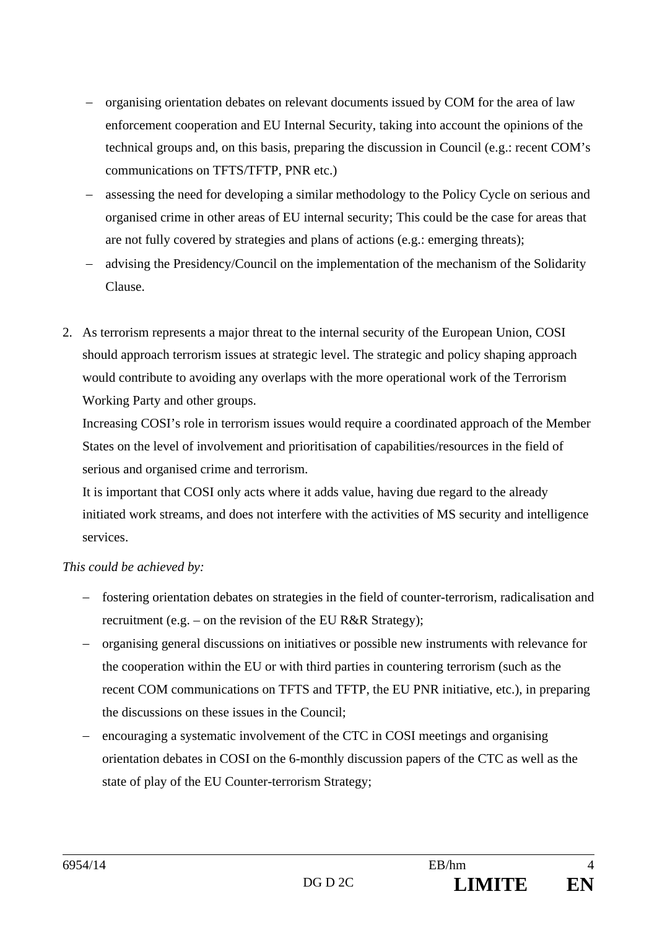- organising orientation debates on relevant documents issued by COM for the area of law enforcement cooperation and EU Internal Security, taking into account the opinions of the technical groups and, on this basis, preparing the discussion in Council (e.g.: recent COM's communications on TFTS/TFTP, PNR etc.)
- assessing the need for developing a similar methodology to the Policy Cycle on serious and organised crime in other areas of EU internal security; This could be the case for areas that are not fully covered by strategies and plans of actions (e.g.: emerging threats);
- advising the Presidency/Council on the implementation of the mechanism of the Solidarity Clause.
- 2. As terrorism represents a major threat to the internal security of the European Union, COSI should approach terrorism issues at strategic level. The strategic and policy shaping approach would contribute to avoiding any overlaps with the more operational work of the Terrorism Working Party and other groups.

Increasing COSI's role in terrorism issues would require a coordinated approach of the Member States on the level of involvement and prioritisation of capabilities/resources in the field of serious and organised crime and terrorism.

It is important that COSI only acts where it adds value, having due regard to the already initiated work streams, and does not interfere with the activities of MS security and intelligence services.

# *This could be achieved by:*

- fostering orientation debates on strategies in the field of counter-terrorism, radicalisation and recruitment (e.g. – on the revision of the EU R&R Strategy);
- organising general discussions on initiatives or possible new instruments with relevance for the cooperation within the EU or with third parties in countering terrorism (such as the recent COM communications on TFTS and TFTP, the EU PNR initiative, etc.), in preparing the discussions on these issues in the Council;
- encouraging a systematic involvement of the CTC in COSI meetings and organising orientation debates in COSI on the 6-monthly discussion papers of the CTC as well as the state of play of the EU Counter-terrorism Strategy;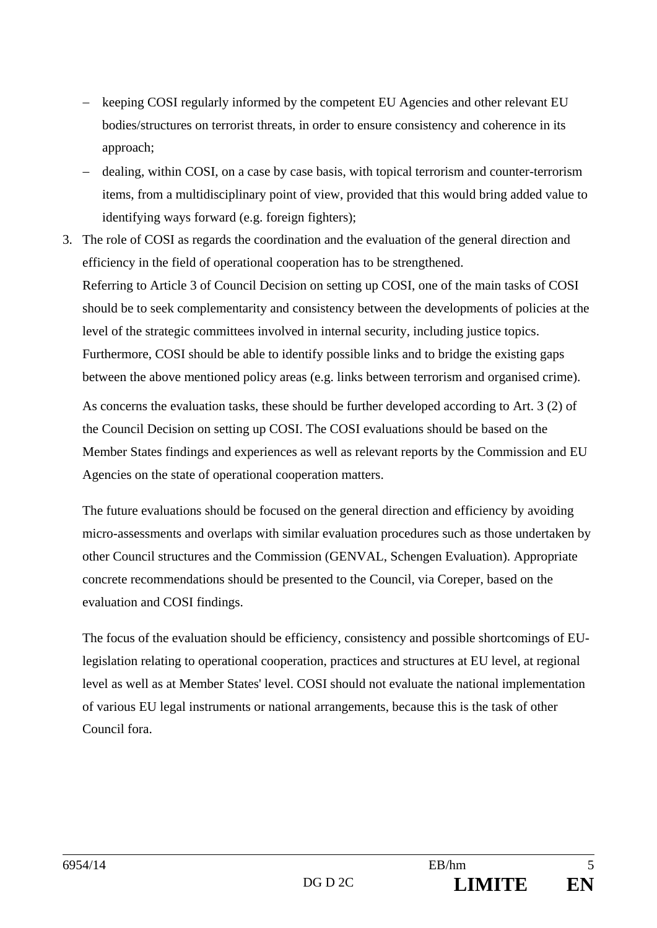- keeping COSI regularly informed by the competent EU Agencies and other relevant EU bodies/structures on terrorist threats, in order to ensure consistency and coherence in its approach;
- dealing, within COSI, on a case by case basis, with topical terrorism and counter-terrorism items, from a multidisciplinary point of view, provided that this would bring added value to identifying ways forward (e.g. foreign fighters);
- 3. The role of COSI as regards the coordination and the evaluation of the general direction and efficiency in the field of operational cooperation has to be strengthened. Referring to Article 3 of Council Decision on setting up COSI, one of the main tasks of COSI should be to seek complementarity and consistency between the developments of policies at the level of the strategic committees involved in internal security, including justice topics. Furthermore, COSI should be able to identify possible links and to bridge the existing gaps between the above mentioned policy areas (e.g. links between terrorism and organised crime).

As concerns the evaluation tasks, these should be further developed according to Art. 3 (2) of the Council Decision on setting up COSI. The COSI evaluations should be based on the Member States findings and experiences as well as relevant reports by the Commission and EU Agencies on the state of operational cooperation matters.

The future evaluations should be focused on the general direction and efficiency by avoiding micro-assessments and overlaps with similar evaluation procedures such as those undertaken by other Council structures and the Commission (GENVAL, Schengen Evaluation). Appropriate concrete recommendations should be presented to the Council, via Coreper, based on the evaluation and COSI findings.

The focus of the evaluation should be efficiency, consistency and possible shortcomings of EUlegislation relating to operational cooperation, practices and structures at EU level, at regional level as well as at Member States' level. COSI should not evaluate the national implementation of various EU legal instruments or national arrangements, because this is the task of other Council fora.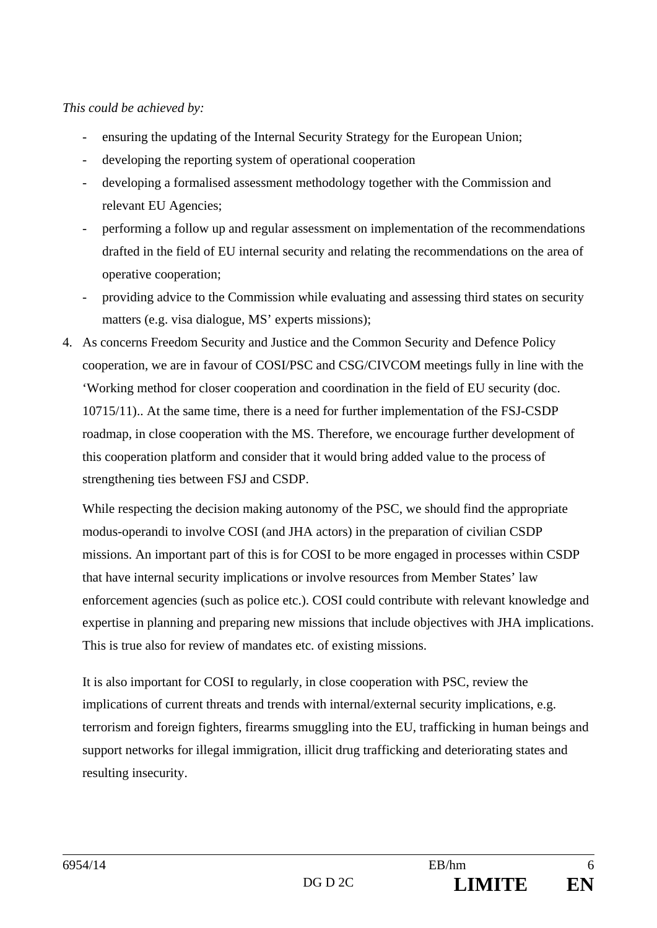### *This could be achieved by:*

- ensuring the updating of the Internal Security Strategy for the European Union;
- developing the reporting system of operational cooperation
- developing a formalised assessment methodology together with the Commission and relevant EU Agencies;
- performing a follow up and regular assessment on implementation of the recommendations drafted in the field of EU internal security and relating the recommendations on the area of operative cooperation;
- providing advice to the Commission while evaluating and assessing third states on security matters (e.g. visa dialogue, MS' experts missions);
- 4. As concerns Freedom Security and Justice and the Common Security and Defence Policy cooperation, we are in favour of COSI/PSC and CSG/CIVCOM meetings fully in line with the 'Working method for closer cooperation and coordination in the field of EU security (doc. 10715/11).. At the same time, there is a need for further implementation of the FSJ-CSDP roadmap, in close cooperation with the MS. Therefore, we encourage further development of this cooperation platform and consider that it would bring added value to the process of strengthening ties between FSJ and CSDP.

While respecting the decision making autonomy of the PSC, we should find the appropriate modus-operandi to involve COSI (and JHA actors) in the preparation of civilian CSDP missions. An important part of this is for COSI to be more engaged in processes within CSDP that have internal security implications or involve resources from Member States' law enforcement agencies (such as police etc.). COSI could contribute with relevant knowledge and expertise in planning and preparing new missions that include objectives with JHA implications. This is true also for review of mandates etc. of existing missions.

It is also important for COSI to regularly, in close cooperation with PSC, review the implications of current threats and trends with internal/external security implications, e.g. terrorism and foreign fighters, firearms smuggling into the EU, trafficking in human beings and support networks for illegal immigration, illicit drug trafficking and deteriorating states and resulting insecurity.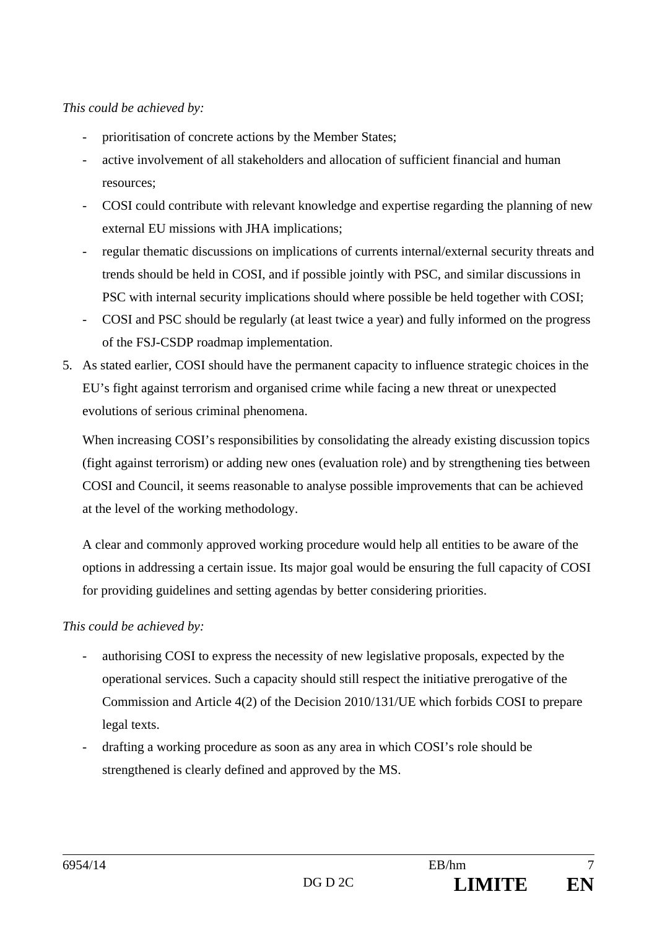## *This could be achieved by:*

- prioritisation of concrete actions by the Member States;
- active involvement of all stakeholders and allocation of sufficient financial and human resources;
- COSI could contribute with relevant knowledge and expertise regarding the planning of new external EU missions with JHA implications;
- regular thematic discussions on implications of currents internal/external security threats and trends should be held in COSI, and if possible jointly with PSC, and similar discussions in PSC with internal security implications should where possible be held together with COSI;
- COSI and PSC should be regularly (at least twice a year) and fully informed on the progress of the FSJ-CSDP roadmap implementation.
- 5. As stated earlier, COSI should have the permanent capacity to influence strategic choices in the EU's fight against terrorism and organised crime while facing a new threat or unexpected evolutions of serious criminal phenomena.

When increasing COSI's responsibilities by consolidating the already existing discussion topics (fight against terrorism) or adding new ones (evaluation role) and by strengthening ties between COSI and Council, it seems reasonable to analyse possible improvements that can be achieved at the level of the working methodology.

A clear and commonly approved working procedure would help all entities to be aware of the options in addressing a certain issue. Its major goal would be ensuring the full capacity of COSI for providing guidelines and setting agendas by better considering priorities.

*This could be achieved by:* 

- authorising COSI to express the necessity of new legislative proposals, expected by the operational services. Such a capacity should still respect the initiative prerogative of the Commission and Article 4(2) of the Decision 2010/131/UE which forbids COSI to prepare legal texts.
- drafting a working procedure as soon as any area in which COSI's role should be strengthened is clearly defined and approved by the MS.